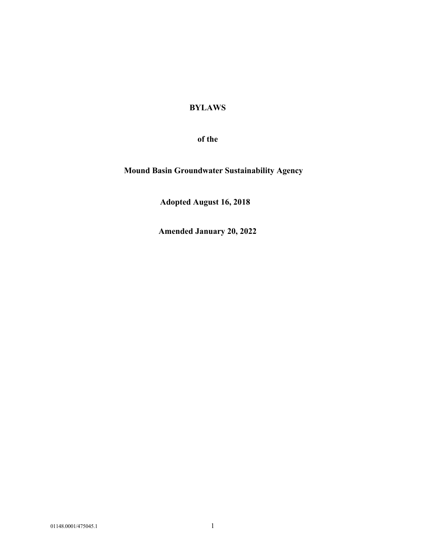# **BYLAWS**

**of the** 

**Mound Basin Groundwater Sustainability Agency** 

 **Adopted August 16, 2018** 

**Amended January 20, 2022**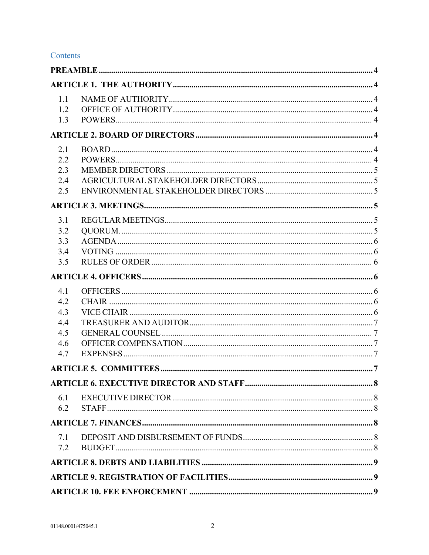# Contents

| 1.1<br>1.2<br>1.3                             |  |  |  |
|-----------------------------------------------|--|--|--|
|                                               |  |  |  |
| 2.1<br>2.2<br>2.3<br>2.4<br>2.5               |  |  |  |
|                                               |  |  |  |
| 3.1<br>3.2<br>3.3<br>3.4<br>3.5               |  |  |  |
|                                               |  |  |  |
| 4.1<br>4.2<br>4.3<br>4.4<br>4.5<br>4.6<br>4.7 |  |  |  |
|                                               |  |  |  |
|                                               |  |  |  |
| 6.1<br>6.2                                    |  |  |  |
|                                               |  |  |  |
| 7.1<br>7.2                                    |  |  |  |
|                                               |  |  |  |
|                                               |  |  |  |
|                                               |  |  |  |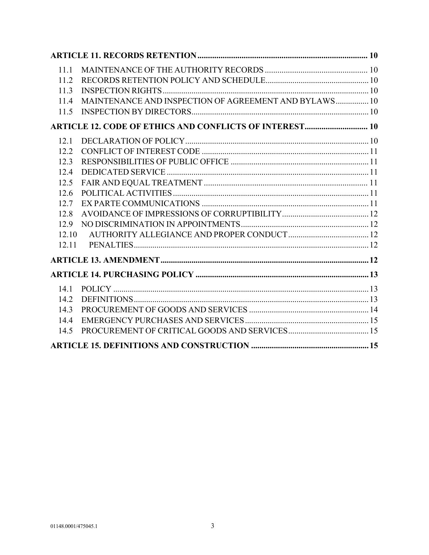| 11.1                                                           |                                                       |  |  |  |
|----------------------------------------------------------------|-------------------------------------------------------|--|--|--|
| 11.2                                                           |                                                       |  |  |  |
| 11.3                                                           |                                                       |  |  |  |
| 11.4                                                           | MAINTENANCE AND INSPECTION OF AGREEMENT AND BYLAWS 10 |  |  |  |
| 11.5                                                           |                                                       |  |  |  |
| <b>ARTICLE 12. CODE OF ETHICS AND CONFLICTS OF INTEREST 10</b> |                                                       |  |  |  |
| 12.1                                                           |                                                       |  |  |  |
| 12.2                                                           |                                                       |  |  |  |
| 12.3                                                           |                                                       |  |  |  |
| 12.4                                                           |                                                       |  |  |  |
| 12.5                                                           |                                                       |  |  |  |
| 12.6                                                           |                                                       |  |  |  |
| 12.7                                                           |                                                       |  |  |  |
| 12.8                                                           |                                                       |  |  |  |
| 12.9                                                           |                                                       |  |  |  |
| 12.10                                                          |                                                       |  |  |  |
| 12.11                                                          |                                                       |  |  |  |
|                                                                |                                                       |  |  |  |
|                                                                |                                                       |  |  |  |
| 14.1                                                           |                                                       |  |  |  |
| 14.2                                                           |                                                       |  |  |  |
| 14.3                                                           |                                                       |  |  |  |
| 14.4                                                           |                                                       |  |  |  |
| 14.5                                                           |                                                       |  |  |  |
|                                                                |                                                       |  |  |  |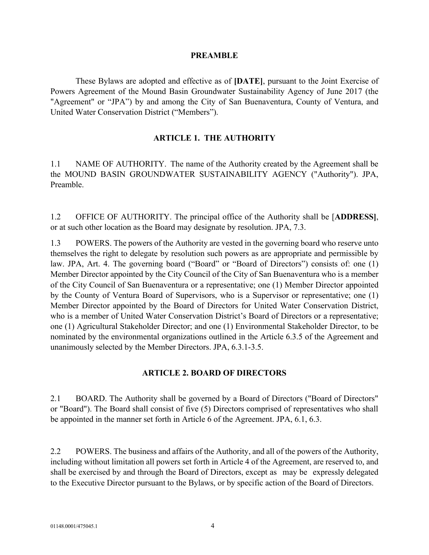#### **PREAMBLE**

These Bylaws are adopted and effective as of **[DATE]**, pursuant to the Joint Exercise of Powers Agreement of the Mound Basin Groundwater Sustainability Agency of June 2017 (the "Agreement" or "JPA") by and among the City of San Buenaventura, County of Ventura, and United Water Conservation District ("Members").

#### **ARTICLE 1. THE AUTHORITY**

1.1 NAME OF AUTHORITY. The name of the Authority created by the Agreement shall be the MOUND BASIN GROUNDWATER SUSTAINABILITY AGENCY ("Authority"). JPA, Preamble.

1.2 OFFICE OF AUTHORITY. The principal office of the Authority shall be [**ADDRESS]**, or at such other location as the Board may designate by resolution. JPA, 7.3.

1.3 POWERS. The powers of the Authority are vested in the governing board who reserve unto themselves the right to delegate by resolution such powers as are appropriate and permissible by law. JPA, Art. 4. The governing board ("Board" or "Board of Directors") consists of: one (1) Member Director appointed by the City Council of the City of San Buenaventura who is a member of the City Council of San Buenaventura or a representative; one (1) Member Director appointed by the County of Ventura Board of Supervisors, who is a Supervisor or representative; one (1) Member Director appointed by the Board of Directors for United Water Conservation District, who is a member of United Water Conservation District's Board of Directors or a representative; one (1) Agricultural Stakeholder Director; and one (1) Environmental Stakeholder Director, to be nominated by the environmental organizations outlined in the Article 6.3.5 of the Agreement and unanimously selected by the Member Directors. JPA, 6.3.1-3.5.

### **ARTICLE 2. BOARD OF DIRECTORS**

2.1 BOARD. The Authority shall be governed by a Board of Directors ("Board of Directors" or "Board"). The Board shall consist of five (5) Directors comprised of representatives who shall be appointed in the manner set forth in Article 6 of the Agreement. JPA, 6.1, 6.3.

2.2 POWERS. The business and affairs of the Authority, and all of the powers of the Authority, including without limitation all powers set forth in Article 4 of the Agreement, are reserved to, and shall be exercised by and through the Board of Directors, except as may be expressly delegated to the Executive Director pursuant to the Bylaws, or by specific action of the Board of Directors.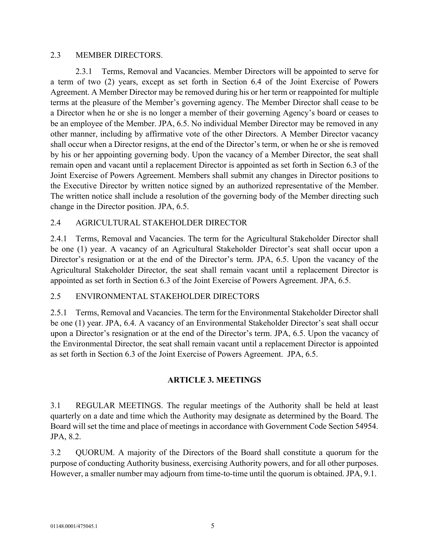#### 2.3 MEMBER DIRECTORS.

2.3.1 Terms, Removal and Vacancies. Member Directors will be appointed to serve for a term of two (2) years, except as set forth in Section 6.4 of the Joint Exercise of Powers Agreement. A Member Director may be removed during his or her term or reappointed for multiple terms at the pleasure of the Member's governing agency. The Member Director shall cease to be a Director when he or she is no longer a member of their governing Agency's board or ceases to be an employee of the Member. JPA, 6.5. No individual Member Director may be removed in any other manner, including by affirmative vote of the other Directors. A Member Director vacancy shall occur when a Director resigns, at the end of the Director's term, or when he or she is removed by his or her appointing governing body. Upon the vacancy of a Member Director, the seat shall remain open and vacant until a replacement Director is appointed as set forth in Section 6.3 of the Joint Exercise of Powers Agreement. Members shall submit any changes in Director positions to the Executive Director by written notice signed by an authorized representative of the Member. The written notice shall include a resolution of the governing body of the Member directing such change in the Director position. JPA, 6.5.

## 2.4 AGRICULTURAL STAKEHOLDER DIRECTOR

2.4.1 Terms, Removal and Vacancies. The term for the Agricultural Stakeholder Director shall be one (1) year. A vacancy of an Agricultural Stakeholder Director's seat shall occur upon a Director's resignation or at the end of the Director's term. JPA, 6.5. Upon the vacancy of the Agricultural Stakeholder Director, the seat shall remain vacant until a replacement Director is appointed as set forth in Section 6.3 of the Joint Exercise of Powers Agreement. JPA, 6.5.

# 2.5 ENVIRONMENTAL STAKEHOLDER DIRECTORS

2.5.1 Terms, Removal and Vacancies. The term for the Environmental Stakeholder Director shall be one (1) year. JPA, 6.4. A vacancy of an Environmental Stakeholder Director's seat shall occur upon a Director's resignation or at the end of the Director's term. JPA, 6.5. Upon the vacancy of the Environmental Director, the seat shall remain vacant until a replacement Director is appointed as set forth in Section 6.3 of the Joint Exercise of Powers Agreement. JPA, 6.5.

# **ARTICLE 3. MEETINGS**

3.1 REGULAR MEETINGS. The regular meetings of the Authority shall be held at least quarterly on a date and time which the Authority may designate as determined by the Board. The Board will set the time and place of meetings in accordance with Government Code Section 54954. JPA, 8.2.

3.2 QUORUM. A majority of the Directors of the Board shall constitute a quorum for the purpose of conducting Authority business, exercising Authority powers, and for all other purposes. However, a smaller number may adjourn from time-to-time until the quorum is obtained. JPA, 9.1.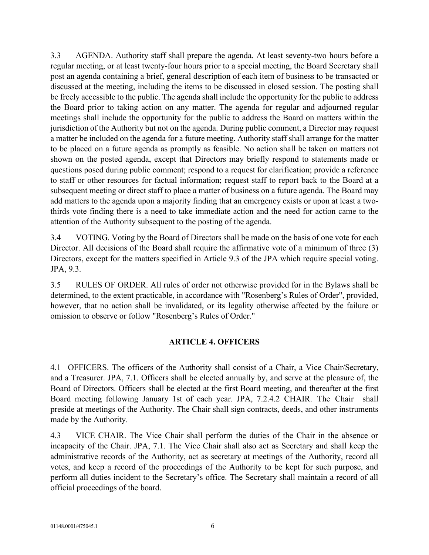3.3 AGENDA. Authority staff shall prepare the agenda. At least seventy-two hours before a regular meeting, or at least twenty-four hours prior to a special meeting, the Board Secretary shall post an agenda containing a brief, general description of each item of business to be transacted or discussed at the meeting, including the items to be discussed in closed session. The posting shall be freely accessible to the public. The agenda shall include the opportunity for the public to address the Board prior to taking action on any matter. The agenda for regular and adjourned regular meetings shall include the opportunity for the public to address the Board on matters within the jurisdiction of the Authority but not on the agenda. During public comment, a Director may request a matter be included on the agenda for a future meeting. Authority staff shall arrange for the matter to be placed on a future agenda as promptly as feasible. No action shall be taken on matters not shown on the posted agenda, except that Directors may briefly respond to statements made or questions posed during public comment; respond to a request for clarification; provide a reference to staff or other resources for factual information; request staff to report back to the Board at a subsequent meeting or direct staff to place a matter of business on a future agenda. The Board may add matters to the agenda upon a majority finding that an emergency exists or upon at least a twothirds vote finding there is a need to take immediate action and the need for action came to the attention of the Authority subsequent to the posting of the agenda.

3.4 VOTING. Voting by the Board of Directors shall be made on the basis of one vote for each Director. All decisions of the Board shall require the affirmative vote of a minimum of three (3) Directors, except for the matters specified in Article 9.3 of the JPA which require special voting. JPA, 9.3.

3.5 RULES OF ORDER. All rules of order not otherwise provided for in the Bylaws shall be determined, to the extent practicable, in accordance with "Rosenberg's Rules of Order", provided, however, that no action shall be invalidated, or its legality otherwise affected by the failure or omission to observe or follow "Rosenberg's Rules of Order."

# **ARTICLE 4. OFFICERS**

4.1 OFFICERS. The officers of the Authority shall consist of a Chair, a Vice Chair/Secretary, and a Treasurer. JPA, 7.1. Officers shall be elected annually by, and serve at the pleasure of, the Board of Directors. Officers shall be elected at the first Board meeting, and thereafter at the first Board meeting following January 1st of each year. JPA, 7.2.4.2 CHAIR. The Chair shall preside at meetings of the Authority. The Chair shall sign contracts, deeds, and other instruments made by the Authority.

4.3 VICE CHAIR. The Vice Chair shall perform the duties of the Chair in the absence or incapacity of the Chair. JPA, 7.1. The Vice Chair shall also act as Secretary and shall keep the administrative records of the Authority, act as secretary at meetings of the Authority, record all votes, and keep a record of the proceedings of the Authority to be kept for such purpose, and perform all duties incident to the Secretary's office. The Secretary shall maintain a record of all official proceedings of the board.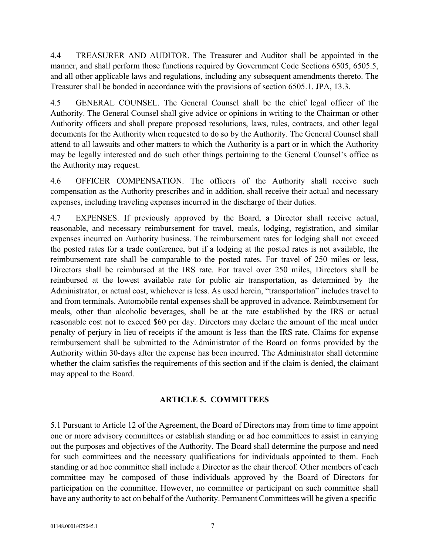4.4 TREASURER AND AUDITOR. The Treasurer and Auditor shall be appointed in the manner, and shall perform those functions required by Government Code Sections 6505, 6505.5, and all other applicable laws and regulations, including any subsequent amendments thereto. The Treasurer shall be bonded in accordance with the provisions of section 6505.1. JPA, 13.3.

4.5 GENERAL COUNSEL. The General Counsel shall be the chief legal officer of the Authority. The General Counsel shall give advice or opinions in writing to the Chairman or other Authority officers and shall prepare proposed resolutions, laws, rules, contracts, and other legal documents for the Authority when requested to do so by the Authority. The General Counsel shall attend to all lawsuits and other matters to which the Authority is a part or in which the Authority may be legally interested and do such other things pertaining to the General Counsel's office as the Authority may request.

4.6 OFFICER COMPENSATION. The officers of the Authority shall receive such compensation as the Authority prescribes and in addition, shall receive their actual and necessary expenses, including traveling expenses incurred in the discharge of their duties.

4.7 EXPENSES. If previously approved by the Board, a Director shall receive actual, reasonable, and necessary reimbursement for travel, meals, lodging, registration, and similar expenses incurred on Authority business. The reimbursement rates for lodging shall not exceed the posted rates for a trade conference, but if a lodging at the posted rates is not available, the reimbursement rate shall be comparable to the posted rates. For travel of 250 miles or less, Directors shall be reimbursed at the IRS rate. For travel over 250 miles, Directors shall be reimbursed at the lowest available rate for public air transportation, as determined by the Administrator, or actual cost, whichever is less. As used herein, "transportation" includes travel to and from terminals. Automobile rental expenses shall be approved in advance. Reimbursement for meals, other than alcoholic beverages, shall be at the rate established by the IRS or actual reasonable cost not to exceed \$60 per day. Directors may declare the amount of the meal under penalty of perjury in lieu of receipts if the amount is less than the IRS rate. Claims for expense reimbursement shall be submitted to the Administrator of the Board on forms provided by the Authority within 30-days after the expense has been incurred. The Administrator shall determine whether the claim satisfies the requirements of this section and if the claim is denied, the claimant may appeal to the Board.

# **ARTICLE 5. COMMITTEES**

5.1 Pursuant to Article 12 of the Agreement, the Board of Directors may from time to time appoint one or more advisory committees or establish standing or ad hoc committees to assist in carrying out the purposes and objectives of the Authority. The Board shall determine the purpose and need for such committees and the necessary qualifications for individuals appointed to them. Each standing or ad hoc committee shall include a Director as the chair thereof. Other members of each committee may be composed of those individuals approved by the Board of Directors for participation on the committee. However, no committee or participant on such committee shall have any authority to act on behalf of the Authority. Permanent Committees will be given a specific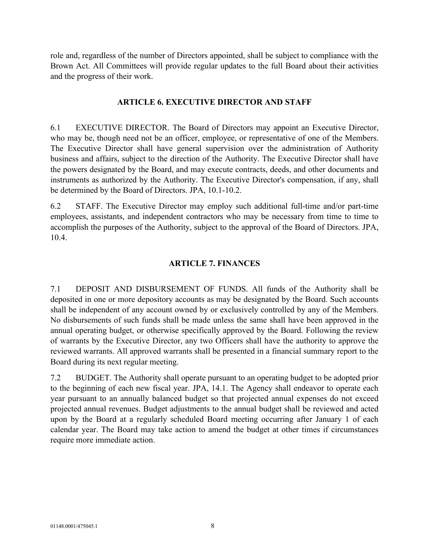role and, regardless of the number of Directors appointed, shall be subject to compliance with the Brown Act. All Committees will provide regular updates to the full Board about their activities and the progress of their work.

### **ARTICLE 6. EXECUTIVE DIRECTOR AND STAFF**

6.1 EXECUTIVE DIRECTOR. The Board of Directors may appoint an Executive Director, who may be, though need not be an officer, employee, or representative of one of the Members. The Executive Director shall have general supervision over the administration of Authority business and affairs, subject to the direction of the Authority. The Executive Director shall have the powers designated by the Board, and may execute contracts, deeds, and other documents and instruments as authorized by the Authority. The Executive Director's compensation, if any, shall be determined by the Board of Directors. JPA, 10.1-10.2.

6.2 STAFF. The Executive Director may employ such additional full-time and/or part-time employees, assistants, and independent contractors who may be necessary from time to time to accomplish the purposes of the Authority, subject to the approval of the Board of Directors. JPA, 10.4.

## **ARTICLE 7. FINANCES**

7.1 DEPOSIT AND DISBURSEMENT OF FUNDS. All funds of the Authority shall be deposited in one or more depository accounts as may be designated by the Board. Such accounts shall be independent of any account owned by or exclusively controlled by any of the Members. No disbursements of such funds shall be made unless the same shall have been approved in the annual operating budget, or otherwise specifically approved by the Board. Following the review of warrants by the Executive Director, any two Officers shall have the authority to approve the reviewed warrants. All approved warrants shall be presented in a financial summary report to the Board during its next regular meeting.

7.2 BUDGET. The Authority shall operate pursuant to an operating budget to be adopted prior to the beginning of each new fiscal year. JPA, 14.1. The Agency shall endeavor to operate each year pursuant to an annually balanced budget so that projected annual expenses do not exceed projected annual revenues. Budget adjustments to the annual budget shall be reviewed and acted upon by the Board at a regularly scheduled Board meeting occurring after January 1 of each calendar year. The Board may take action to amend the budget at other times if circumstances require more immediate action.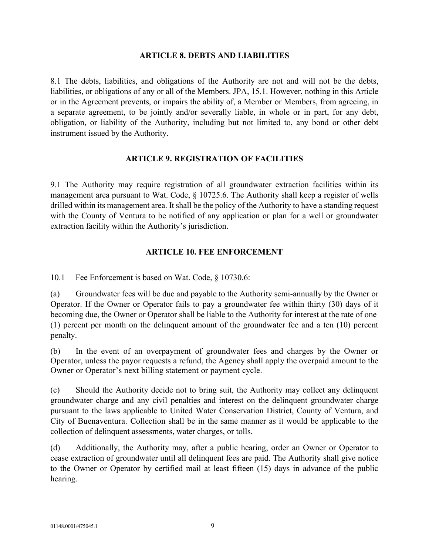### **ARTICLE 8. DEBTS AND LIABILITIES**

8.1 The debts, liabilities, and obligations of the Authority are not and will not be the debts, liabilities, or obligations of any or all of the Members. JPA, 15.1. However, nothing in this Article or in the Agreement prevents, or impairs the ability of, a Member or Members, from agreeing, in a separate agreement, to be jointly and/or severally liable, in whole or in part, for any debt, obligation, or liability of the Authority, including but not limited to, any bond or other debt instrument issued by the Authority.

# **ARTICLE 9. REGISTRATION OF FACILITIES**

9.1 The Authority may require registration of all groundwater extraction facilities within its management area pursuant to Wat. Code, § 10725.6. The Authority shall keep a register of wells drilled within its management area. It shall be the policy of the Authority to have a standing request with the County of Ventura to be notified of any application or plan for a well or groundwater extraction facility within the Authority's jurisdiction.

# **ARTICLE 10. FEE ENFORCEMENT**

10.1 Fee Enforcement is based on Wat. Code, § 10730.6:

(a) Groundwater fees will be due and payable to the Authority semi-annually by the Owner or Operator. If the Owner or Operator fails to pay a groundwater fee within thirty (30) days of it becoming due, the Owner or Operator shall be liable to the Authority for interest at the rate of one (1) percent per month on the delinquent amount of the groundwater fee and a ten (10) percent penalty.

(b) In the event of an overpayment of groundwater fees and charges by the Owner or Operator, unless the payor requests a refund, the Agency shall apply the overpaid amount to the Owner or Operator's next billing statement or payment cycle.

(c) Should the Authority decide not to bring suit, the Authority may collect any delinquent groundwater charge and any civil penalties and interest on the delinquent groundwater charge pursuant to the laws applicable to United Water Conservation District, County of Ventura, and City of Buenaventura. Collection shall be in the same manner as it would be applicable to the collection of delinquent assessments, water charges, or tolls.

(d) Additionally, the Authority may, after a public hearing, order an Owner or Operator to cease extraction of groundwater until all delinquent fees are paid. The Authority shall give notice to the Owner or Operator by certified mail at least fifteen (15) days in advance of the public hearing.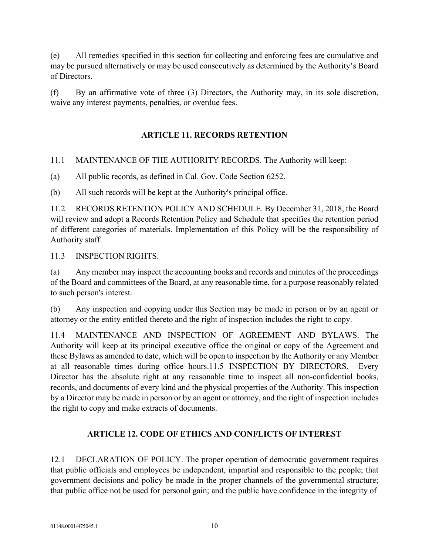(e) All remedies specified in this section for collecting and enforcing fees are cumulative and may be pursued alternatively or may be used consecutively as determined by the Authority's Board of Directors.

(f) By an affirmative vote of three (3) Directors, the Authority may, in its sole discretion, waive any interest payments, penalties, or overdue fees.

# **ARTICLE 11. RECORDS RETENTION**

11.1 MAINTENANCE OF THE AUTHORITY RECORDS. The Authority will keep:

(a) All public records, as defined in Cal. Gov. Code Section 6252.

(b) All such records will be kept at the Authority's principal office.

11.2 RECORDS RETENTION POLICY AND SCHEDULE. By December 31, 2018, the Board will review and adopt a Records Retention Policy and Schedule that specifies the retention period of different categories of materials. Implementation of this Policy will be the responsibility of Authority staff.

11.3 INSPECTION RIGHTS.

(a) Any member may inspect the accounting books and records and minutes of the proceedings of the Board and committees of the Board, at any reasonable time, for a purpose reasonably related to such person's interest.

(b) Any inspection and copying under this Section may be made in person or by an agent or attorney or the entity entitled thereto and the right of inspection includes the right to copy.

11.4 MAINTENANCE AND INSPECTION OF AGREEMENT AND BYLAWS. The Authority will keep at its principal executive office the original or copy of the Agreement and these Bylaws as amended to date, which will be open to inspection by the Authority or any Member at all reasonable times during office hours.11.5 INSPECTION BY DIRECTORS. Every Director has the absolute right at any reasonable time to inspect all non-confidential books, records, and documents of every kind and the physical properties of the Authority. This inspection by a Director may be made in person or by an agent or attorney, and the right of inspection includes the right to copy and make extracts of documents.

# **ARTICLE 12. CODE OF ETHICS AND CONFLICTS OF INTEREST**

12.1 DECLARATION OF POLICY. The proper operation of democratic government requires that public officials and employees be independent, impartial and responsible to the people; that government decisions and policy be made in the proper channels of the governmental structure; that public office not be used for personal gain; and the public have confidence in the integrity of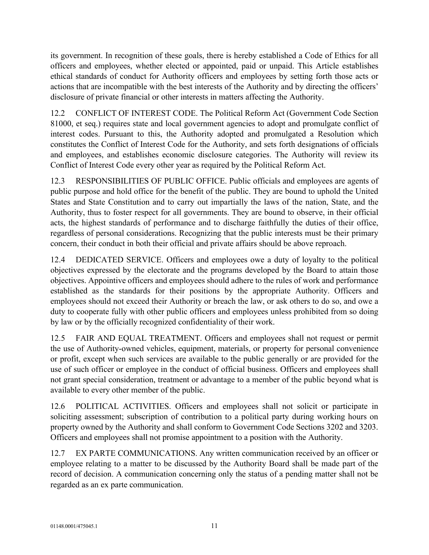its government. In recognition of these goals, there is hereby established a Code of Ethics for all officers and employees, whether elected or appointed, paid or unpaid. This Article establishes ethical standards of conduct for Authority officers and employees by setting forth those acts or actions that are incompatible with the best interests of the Authority and by directing the officers' disclosure of private financial or other interests in matters affecting the Authority.

12.2 CONFLICT OF INTEREST CODE. The Political Reform Act (Government Code Section 81000, et seq.) requires state and local government agencies to adopt and promulgate conflict of interest codes. Pursuant to this, the Authority adopted and promulgated a Resolution which constitutes the Conflict of Interest Code for the Authority, and sets forth designations of officials and employees, and establishes economic disclosure categories. The Authority will review its Conflict of Interest Code every other year as required by the Political Reform Act.

12.3 RESPONSIBILITIES OF PUBLIC OFFICE. Public officials and employees are agents of public purpose and hold office for the benefit of the public. They are bound to uphold the United States and State Constitution and to carry out impartially the laws of the nation, State, and the Authority, thus to foster respect for all governments. They are bound to observe, in their official acts, the highest standards of performance and to discharge faithfully the duties of their office, regardless of personal considerations. Recognizing that the public interests must be their primary concern, their conduct in both their official and private affairs should be above reproach.

12.4 DEDICATED SERVICE. Officers and employees owe a duty of loyalty to the political objectives expressed by the electorate and the programs developed by the Board to attain those objectives. Appointive officers and employees should adhere to the rules of work and performance established as the standards for their positions by the appropriate Authority. Officers and employees should not exceed their Authority or breach the law, or ask others to do so, and owe a duty to cooperate fully with other public officers and employees unless prohibited from so doing by law or by the officially recognized confidentiality of their work.

12.5 FAIR AND EQUAL TREATMENT. Officers and employees shall not request or permit the use of Authority-owned vehicles, equipment, materials, or property for personal convenience or profit, except when such services are available to the public generally or are provided for the use of such officer or employee in the conduct of official business. Officers and employees shall not grant special consideration, treatment or advantage to a member of the public beyond what is available to every other member of the public.

12.6 POLITICAL ACTIVITIES. Officers and employees shall not solicit or participate in soliciting assessment; subscription of contribution to a political party during working hours on property owned by the Authority and shall conform to Government Code Sections 3202 and 3203. Officers and employees shall not promise appointment to a position with the Authority.

12.7 EX PARTE COMMUNICATIONS. Any written communication received by an officer or employee relating to a matter to be discussed by the Authority Board shall be made part of the record of decision. A communication concerning only the status of a pending matter shall not be regarded as an ex parte communication.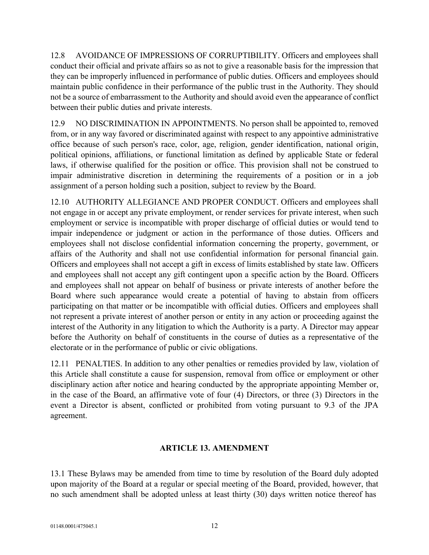12.8 AVOIDANCE OF IMPRESSIONS OF CORRUPTIBILITY. Officers and employees shall conduct their official and private affairs so as not to give a reasonable basis for the impression that they can be improperly influenced in performance of public duties. Officers and employees should maintain public confidence in their performance of the public trust in the Authority. They should not be a source of embarrassment to the Authority and should avoid even the appearance of conflict between their public duties and private interests.

12.9 NO DISCRIMINATION IN APPOINTMENTS. No person shall be appointed to, removed from, or in any way favored or discriminated against with respect to any appointive administrative office because of such person's race, color, age, religion, gender identification, national origin, political opinions, affiliations, or functional limitation as defined by applicable State or federal laws, if otherwise qualified for the position or office. This provision shall not be construed to impair administrative discretion in determining the requirements of a position or in a job assignment of a person holding such a position, subject to review by the Board.

12.10 AUTHORITY ALLEGIANCE AND PROPER CONDUCT. Officers and employees shall not engage in or accept any private employment, or render services for private interest, when such employment or service is incompatible with proper discharge of official duties or would tend to impair independence or judgment or action in the performance of those duties. Officers and employees shall not disclose confidential information concerning the property, government, or affairs of the Authority and shall not use confidential information for personal financial gain. Officers and employees shall not accept a gift in excess of limits established by state law. Officers and employees shall not accept any gift contingent upon a specific action by the Board. Officers and employees shall not appear on behalf of business or private interests of another before the Board where such appearance would create a potential of having to abstain from officers participating on that matter or be incompatible with official duties. Officers and employees shall not represent a private interest of another person or entity in any action or proceeding against the interest of the Authority in any litigation to which the Authority is a party. A Director may appear before the Authority on behalf of constituents in the course of duties as a representative of the electorate or in the performance of public or civic obligations.

12.11 PENALTIES. In addition to any other penalties or remedies provided by law, violation of this Article shall constitute a cause for suspension, removal from office or employment or other disciplinary action after notice and hearing conducted by the appropriate appointing Member or, in the case of the Board, an affirmative vote of four (4) Directors, or three (3) Directors in the event a Director is absent, conflicted or prohibited from voting pursuant to 9.3 of the JPA agreement.

# **ARTICLE 13. AMENDMENT**

13.1 These Bylaws may be amended from time to time by resolution of the Board duly adopted upon majority of the Board at a regular or special meeting of the Board, provided, however, that no such amendment shall be adopted unless at least thirty (30) days written notice thereof has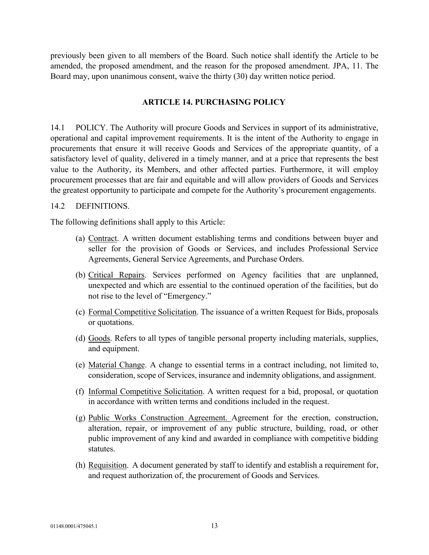previously been given to all members of the Board. Such notice shall identify the Article to be amended, the proposed amendment, and the reason for the proposed amendment. JPA, 11. The Board may, upon unanimous consent, waive the thirty (30) day written notice period.

#### **ARTICLE 14. PURCHASING POLICY**

14.1 POLICY. The Authority will procure Goods and Services in support of its administrative, operational and capital improvement requirements. It is the intent of the Authority to engage in procurements that ensure it will receive Goods and Services of the appropriate quantity, of a satisfactory level of quality, delivered in a timely manner, and at a price that represents the best value to the Authority, its Members, and other affected parties. Furthermore, it will employ procurement processes that are fair and equitable and will allow providers of Goods and Services the greatest opportunity to participate and compete for the Authority's procurement engagements.

#### 14.2 DEFINITIONS.

The following definitions shall apply to this Article:

- (a) Contract. A written document establishing terms and conditions between buyer and seller for the provision of Goods or Services, and includes Professional Service Agreements, General Service Agreements, and Purchase Orders.
- (b) Critical Repairs. Services performed on Agency facilities that are unplanned, unexpected and which are essential to the continued operation of the facilities, but do not rise to the level of "Emergency."
- (c) Formal Competitive Solicitation. The issuance of a written Request for Bids, proposals or quotations.
- (d) Goods. Refers to all types of tangible personal property including materials, supplies, and equipment.
- (e) Material Change. A change to essential terms in a contract including, not limited to, consideration, scope of Services, insurance and indemnity obligations, and assignment.
- (f) Informal Competitive Solicitation. A written request for a bid, proposal, or quotation in accordance with written terms and conditions included in the request.
- (g) Public Works Construction Agreement. Agreement for the erection, construction, alteration, repair, or improvement of any public structure, building, road, or other public improvement of any kind and awarded in compliance with competitive bidding statutes.
- (h) Requisition. A document generated by staff to identify and establish a requirement for, and request authorization of, the procurement of Goods and Services.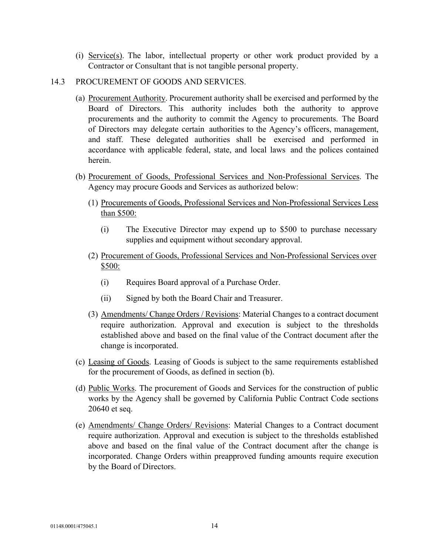(i) Service(s). The labor, intellectual property or other work product provided by a Contractor or Consultant that is not tangible personal property.

### 14.3 PROCUREMENT OF GOODS AND SERVICES.

- (a) Procurement Authority. Procurement authority shall be exercised and performed by the Board of Directors. This authority includes both the authority to approve procurements and the authority to commit the Agency to procurements. The Board of Directors may delegate certain authorities to the Agency's officers, management, and staff. These delegated authorities shall be exercised and performed in accordance with applicable federal, state, and local laws and the polices contained herein.
- (b) Procurement of Goods, Professional Services and Non-Professional Services. The Agency may procure Goods and Services as authorized below:
	- (1) Procurements of Goods, Professional Services and Non-Professional Services Less than \$500:
		- (i) The Executive Director may expend up to \$500 to purchase necessary supplies and equipment without secondary approval.
	- (2) Procurement of Goods, Professional Services and Non-Professional Services over \$500:
		- (i) Requires Board approval of a Purchase Order.
		- (ii) Signed by both the Board Chair and Treasurer.
	- (3) Amendments/ Change Orders / Revisions: Material Changes to a contract document require authorization. Approval and execution is subject to the thresholds established above and based on the final value of the Contract document after the change is incorporated.
- (c) Leasing of Goods. Leasing of Goods is subject to the same requirements established for the procurement of Goods, as defined in section (b).
- (d) Public Works. The procurement of Goods and Services for the construction of public works by the Agency shall be governed by California Public Contract Code sections 20640 et seq.
- (e) Amendments/ Change Orders/ Revisions: Material Changes to a Contract document require authorization. Approval and execution is subject to the thresholds established above and based on the final value of the Contract document after the change is incorporated. Change Orders within preapproved funding amounts require execution by the Board of Directors.